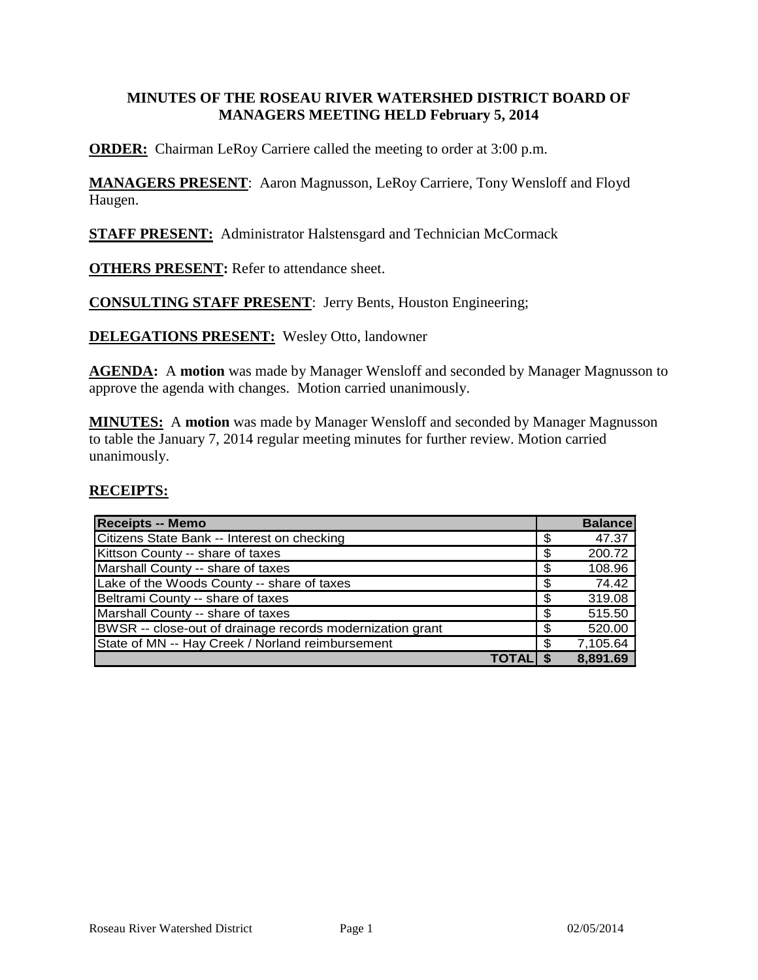#### **MINUTES OF THE ROSEAU RIVER WATERSHED DISTRICT BOARD OF MANAGERS MEETING HELD February 5, 2014**

**ORDER:** Chairman LeRoy Carriere called the meeting to order at 3:00 p.m.

**MANAGERS PRESENT**: Aaron Magnusson, LeRoy Carriere, Tony Wensloff and Floyd Haugen.

**STAFF PRESENT:** Administrator Halstensgard and Technician McCormack

**OTHERS PRESENT:** Refer to attendance sheet.

**CONSULTING STAFF PRESENT**: Jerry Bents, Houston Engineering;

**DELEGATIONS PRESENT:** Wesley Otto, landowner

**AGENDA:** A **motion** was made by Manager Wensloff and seconded by Manager Magnusson to approve the agenda with changes. Motion carried unanimously.

**MINUTES:** A **motion** was made by Manager Wensloff and seconded by Manager Magnusson to table the January 7, 2014 regular meeting minutes for further review. Motion carried unanimously.

#### **RECEIPTS:**

| <b>Receipts -- Memo</b>                                   | <b>Balance</b> |
|-----------------------------------------------------------|----------------|
| Citizens State Bank -- Interest on checking               | \$<br>47.37    |
| Kittson County -- share of taxes                          | \$<br>200.72   |
| Marshall County -- share of taxes                         | \$<br>108.96   |
| Lake of the Woods County -- share of taxes                | \$<br>74.42    |
| Beltrami County -- share of taxes                         | \$<br>319.08   |
| Marshall County -- share of taxes                         | \$<br>515.50   |
| BWSR -- close-out of drainage records modernization grant | \$<br>520.00   |
| State of MN -- Hay Creek / Norland reimbursement          | \$<br>7,105.64 |
|                                                           | 8,891.69       |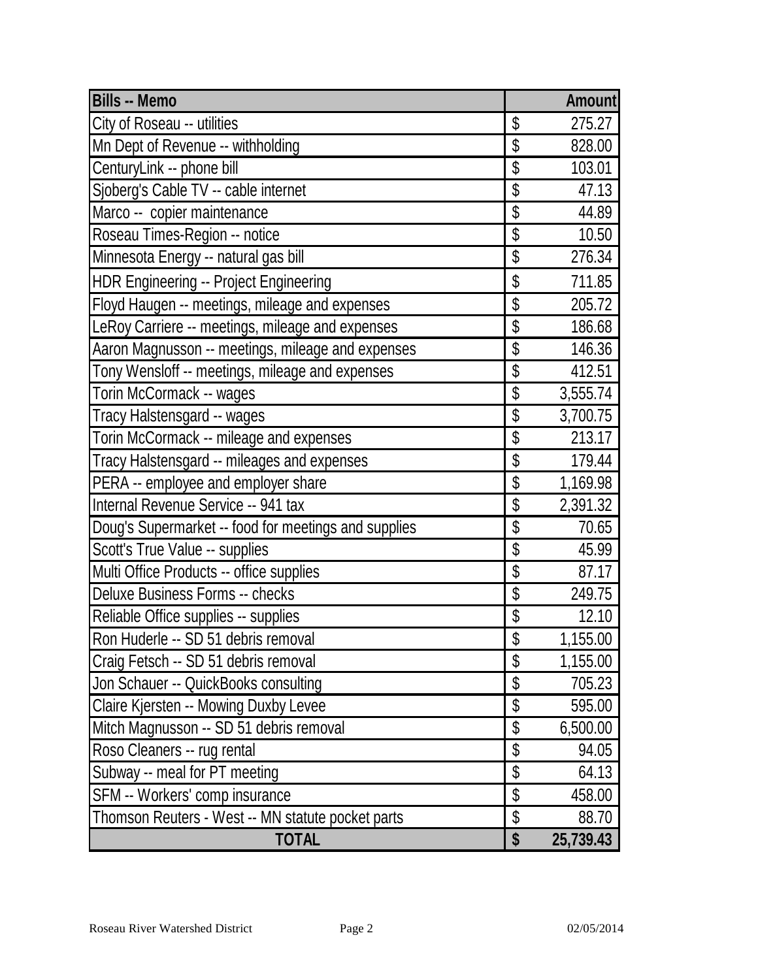| <b>Bills -- Memo</b>                                 |                     | Amount    |
|------------------------------------------------------|---------------------|-----------|
| City of Roseau -- utilities                          | \$                  | 275.27    |
| Mn Dept of Revenue -- withholding                    | \$                  | 828.00    |
| CenturyLink -- phone bill                            | \$                  | 103.01    |
| Sjoberg's Cable TV -- cable internet                 | \$                  | 47.13     |
| Marco -- copier maintenance                          | \$                  | 44.89     |
| Roseau Times-Region -- notice                        | \$                  | 10.50     |
| Minnesota Energy -- natural gas bill                 | \$                  | 276.34    |
| <b>HDR Engineering -- Project Engineering</b>        | \$                  | 711.85    |
| Floyd Haugen -- meetings, mileage and expenses       | \$                  | 205.72    |
| LeRoy Carriere -- meetings, mileage and expenses     | \$                  | 186.68    |
| Aaron Magnusson -- meetings, mileage and expenses    | \$                  | 146.36    |
| Tony Wensloff -- meetings, mileage and expenses      | \$                  | 412.51    |
| Torin McCormack -- wages                             | \$                  | 3,555.74  |
| Tracy Halstensgard -- wages                          | \$                  | 3,700.75  |
| Torin McCormack -- mileage and expenses              | \$                  | 213.17    |
| Tracy Halstensgard -- mileages and expenses          | \$                  | 179.44    |
| PERA -- employee and employer share                  | \$                  | 1,169.98  |
| Internal Revenue Service -- 941 tax                  | \$                  | 2,391.32  |
| Doug's Supermarket -- food for meetings and supplies | \$                  | 70.65     |
| Scott's True Value -- supplies                       | \$                  | 45.99     |
| Multi Office Products -- office supplies             | \$                  | 87.17     |
| <b>Deluxe Business Forms -- checks</b>               | \$                  | 249.75    |
| Reliable Office supplies -- supplies                 | \$                  | 12.10     |
| Ron Huderle -- SD 51 debris removal                  | $\hat{\mathcal{S}}$ | 1,155.00  |
| Craig Fetsch -- SD 51 debris removal                 | \$                  | 1,155.00  |
| Jon Schauer -- QuickBooks consulting                 | \$                  | 705.23    |
| Claire Kjersten -- Mowing Duxby Levee                | \$                  | 595.00    |
| Mitch Magnusson -- SD 51 debris removal              | \$                  | 6,500.00  |
| Roso Cleaners -- rug rental                          | \$                  | 94.05     |
| Subway -- meal for PT meeting                        | \$                  | 64.13     |
| SFM -- Workers' comp insurance                       | \$                  | 458.00    |
| Thomson Reuters - West -- MN statute pocket parts    | \$                  | 88.70     |
| <b>TOTAL</b>                                         | \$                  | 25,739.43 |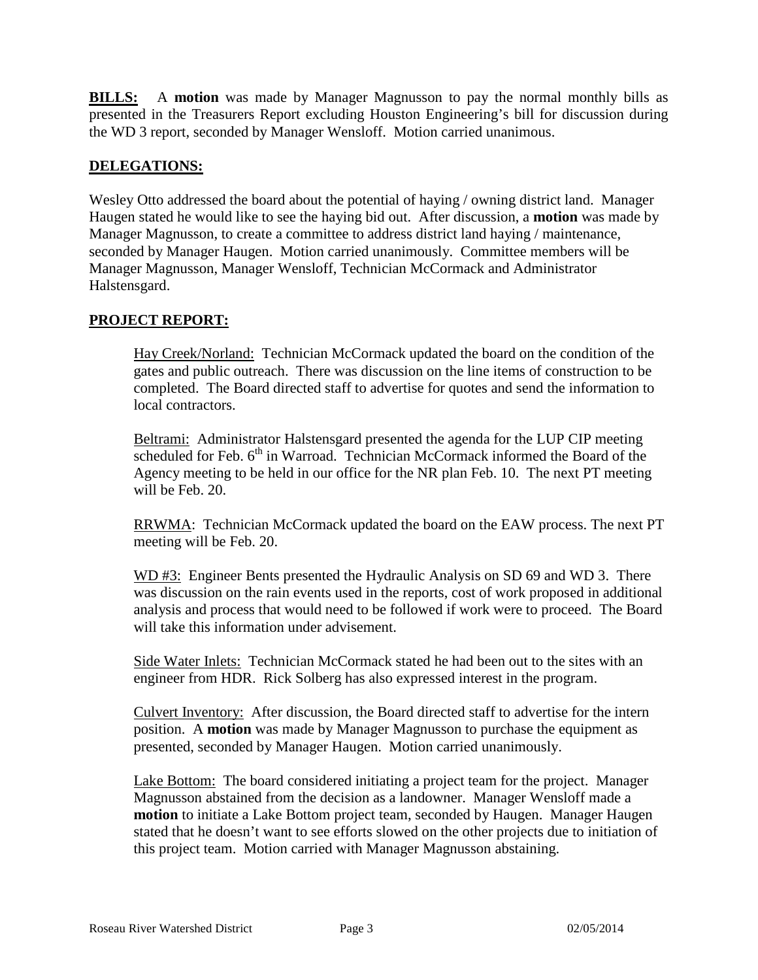**BILLS:** A **motion** was made by Manager Magnusson to pay the normal monthly bills as presented in the Treasurers Report excluding Houston Engineering's bill for discussion during the WD 3 report, seconded by Manager Wensloff. Motion carried unanimous.

## **DELEGATIONS:**

Wesley Otto addressed the board about the potential of haying / owning district land. Manager Haugen stated he would like to see the haying bid out. After discussion, a **motion** was made by Manager Magnusson, to create a committee to address district land haying / maintenance, seconded by Manager Haugen. Motion carried unanimously. Committee members will be Manager Magnusson, Manager Wensloff, Technician McCormack and Administrator Halstensgard.

# **PROJECT REPORT:**

Hay Creek/Norland: Technician McCormack updated the board on the condition of the gates and public outreach. There was discussion on the line items of construction to be completed. The Board directed staff to advertise for quotes and send the information to local contractors.

Beltrami: Administrator Halstensgard presented the agenda for the LUP CIP meeting  $s$ cheduled for Feb.  $6<sup>th</sup>$  in Warroad. Technician McCormack informed the Board of the Agency meeting to be held in our office for the NR plan Feb. 10. The next PT meeting will be Feb. 20.

RRWMA: Technician McCormack updated the board on the EAW process. The next PT meeting will be Feb. 20.

WD #3: Engineer Bents presented the Hydraulic Analysis on SD 69 and WD 3. There was discussion on the rain events used in the reports, cost of work proposed in additional analysis and process that would need to be followed if work were to proceed. The Board will take this information under advisement.

Side Water Inlets: Technician McCormack stated he had been out to the sites with an engineer from HDR. Rick Solberg has also expressed interest in the program.

Culvert Inventory: After discussion, the Board directed staff to advertise for the intern position. A **motion** was made by Manager Magnusson to purchase the equipment as presented, seconded by Manager Haugen. Motion carried unanimously.

Lake Bottom: The board considered initiating a project team for the project. Manager Magnusson abstained from the decision as a landowner. Manager Wensloff made a **motion** to initiate a Lake Bottom project team, seconded by Haugen. Manager Haugen stated that he doesn't want to see efforts slowed on the other projects due to initiation of this project team. Motion carried with Manager Magnusson abstaining.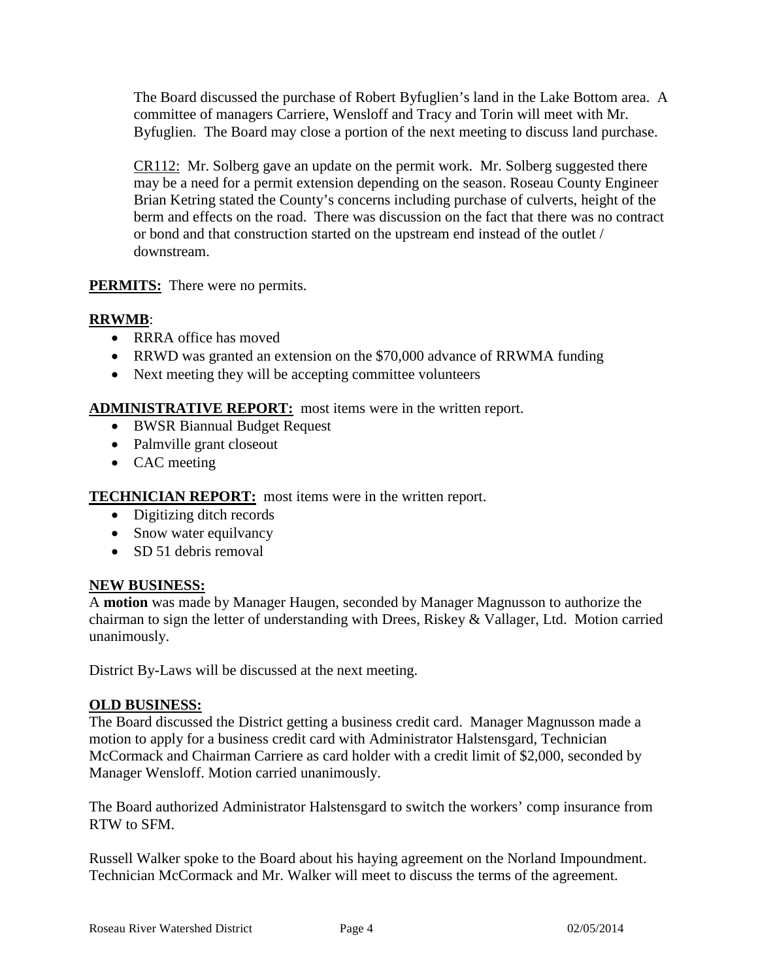The Board discussed the purchase of Robert Byfuglien's land in the Lake Bottom area. A committee of managers Carriere, Wensloff and Tracy and Torin will meet with Mr. Byfuglien. The Board may close a portion of the next meeting to discuss land purchase.

CR112: Mr. Solberg gave an update on the permit work. Mr. Solberg suggested there may be a need for a permit extension depending on the season. Roseau County Engineer Brian Ketring stated the County's concerns including purchase of culverts, height of the berm and effects on the road. There was discussion on the fact that there was no contract or bond and that construction started on the upstream end instead of the outlet / downstream.

## **PERMITS:** There were no permits.

# **RRWMB**:

- RRRA office has moved
- RRWD was granted an extension on the \$70,000 advance of RRWMA funding
- Next meeting they will be accepting committee volunteers

## **ADMINISTRATIVE REPORT:** most items were in the written report.

- BWSR Biannual Budget Request
- Palmville grant closeout
- CAC meeting

**TECHNICIAN REPORT:** most items were in the written report.

- Digitizing ditch records
- Snow water equilvancy
- SD 51 debris removal

## **NEW BUSINESS:**

A **motion** was made by Manager Haugen, seconded by Manager Magnusson to authorize the chairman to sign the letter of understanding with Drees, Riskey & Vallager, Ltd. Motion carried unanimously.

District By-Laws will be discussed at the next meeting.

## **OLD BUSINESS:**

The Board discussed the District getting a business credit card. Manager Magnusson made a motion to apply for a business credit card with Administrator Halstensgard, Technician McCormack and Chairman Carriere as card holder with a credit limit of \$2,000, seconded by Manager Wensloff. Motion carried unanimously.

The Board authorized Administrator Halstensgard to switch the workers' comp insurance from RTW to SFM.

Russell Walker spoke to the Board about his haying agreement on the Norland Impoundment. Technician McCormack and Mr. Walker will meet to discuss the terms of the agreement.